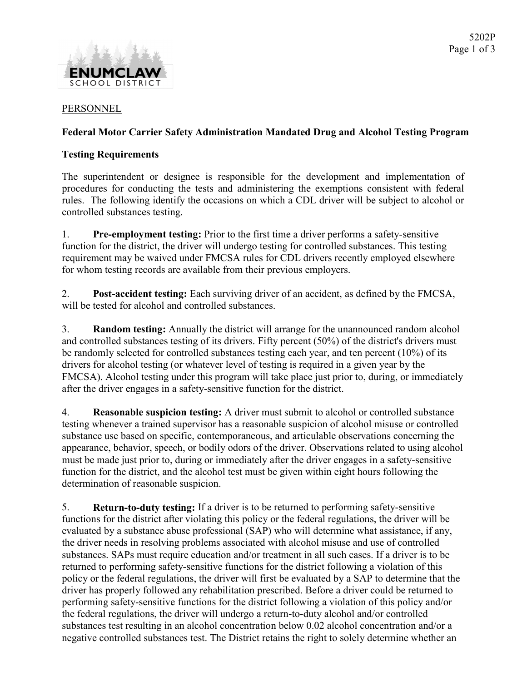

#### PERSONNEL

### Federal Motor Carrier Safety Administration Mandated Drug and Alcohol Testing Program

### Testing Requirements

The superintendent or designee is responsible for the development and implementation of procedures for conducting the tests and administering the exemptions consistent with federal rules. The following identify the occasions on which a CDL driver will be subject to alcohol or controlled substances testing.

1. Pre-employment testing: Prior to the first time a driver performs a safety-sensitive function for the district, the driver will undergo testing for controlled substances. This testing requirement may be waived under FMCSA rules for CDL drivers recently employed elsewhere for whom testing records are available from their previous employers.

2. Post-accident testing: Each surviving driver of an accident, as defined by the FMCSA, will be tested for alcohol and controlled substances.

3. Random testing: Annually the district will arrange for the unannounced random alcohol and controlled substances testing of its drivers. Fifty percent (50%) of the district's drivers must be randomly selected for controlled substances testing each year, and ten percent (10%) of its drivers for alcohol testing (or whatever level of testing is required in a given year by the FMCSA). Alcohol testing under this program will take place just prior to, during, or immediately after the driver engages in a safety-sensitive function for the district.

4. Reasonable suspicion testing: A driver must submit to alcohol or controlled substance testing whenever a trained supervisor has a reasonable suspicion of alcohol misuse or controlled substance use based on specific, contemporaneous, and articulable observations concerning the appearance, behavior, speech, or bodily odors of the driver. Observations related to using alcohol must be made just prior to, during or immediately after the driver engages in a safety-sensitive function for the district, and the alcohol test must be given within eight hours following the determination of reasonable suspicion.

5. Return-to-duty testing: If a driver is to be returned to performing safety-sensitive functions for the district after violating this policy or the federal regulations, the driver will be evaluated by a substance abuse professional (SAP) who will determine what assistance, if any, the driver needs in resolving problems associated with alcohol misuse and use of controlled substances. SAPs must require education and/or treatment in all such cases. If a driver is to be returned to performing safety-sensitive functions for the district following a violation of this policy or the federal regulations, the driver will first be evaluated by a SAP to determine that the driver has properly followed any rehabilitation prescribed. Before a driver could be returned to performing safety-sensitive functions for the district following a violation of this policy and/or the federal regulations, the driver will undergo a return-to-duty alcohol and/or controlled substances test resulting in an alcohol concentration below 0.02 alcohol concentration and/or a negative controlled substances test. The District retains the right to solely determine whether an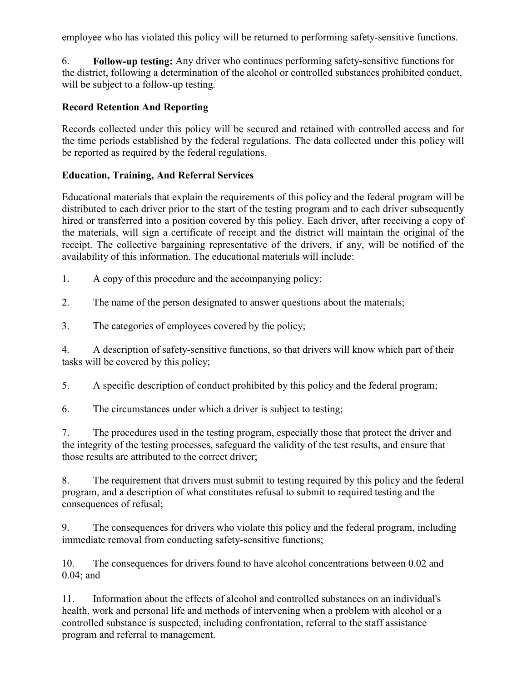employee who has violated this policy will be returned to performing safety-sensitive functions.

6. Follow-up testing: Any driver who continues performing safety-sensitive functions for the district, following a determination of the alcohol or controlled substances prohibited conduct, will be subject to a follow-up testing.

# Record Retention And Reporting

Records collected under this policy will be secured and retained with controlled access and for the time periods established by the federal regulations. The data collected under this policy will be reported as required by the federal regulations.

# Education, Training, And Referral Services

Educational materials that explain the requirements of this policy and the federal program will be distributed to each driver prior to the start of the testing program and to each driver subsequently hired or transferred into a position covered by this policy. Each driver, after receiving a copy of the materials, will sign a certificate of receipt and the district will maintain the original of the receipt. The collective bargaining representative of the drivers, if any, will be notified of the availability of this information. The educational materials will include:

1. A copy of this procedure and the accompanying policy;

2. The name of the person designated to answer questions about the materials;

3. The categories of employees covered by the policy;

4. A description of safety-sensitive functions, so that drivers will know which part of their tasks will be covered by this policy;

5. A specific description of conduct prohibited by this policy and the federal program;

6. The circumstances under which a driver is subject to testing;

7. The procedures used in the testing program, especially those that protect the driver and the integrity of the testing processes, safeguard the validity of the test results, and ensure that those results are attributed to the correct driver;

8. The requirement that drivers must submit to testing required by this policy and the federal program, and a description of what constitutes refusal to submit to required testing and the consequences of refusal;

9. The consequences for drivers who violate this policy and the federal program, including immediate removal from conducting safety-sensitive functions;

10. The consequences for drivers found to have alcohol concentrations between 0.02 and 0.04; and

11. Information about the effects of alcohol and controlled substances on an individual's health, work and personal life and methods of intervening when a problem with alcohol or a controlled substance is suspected, including confrontation, referral to the staff assistance program and referral to management.